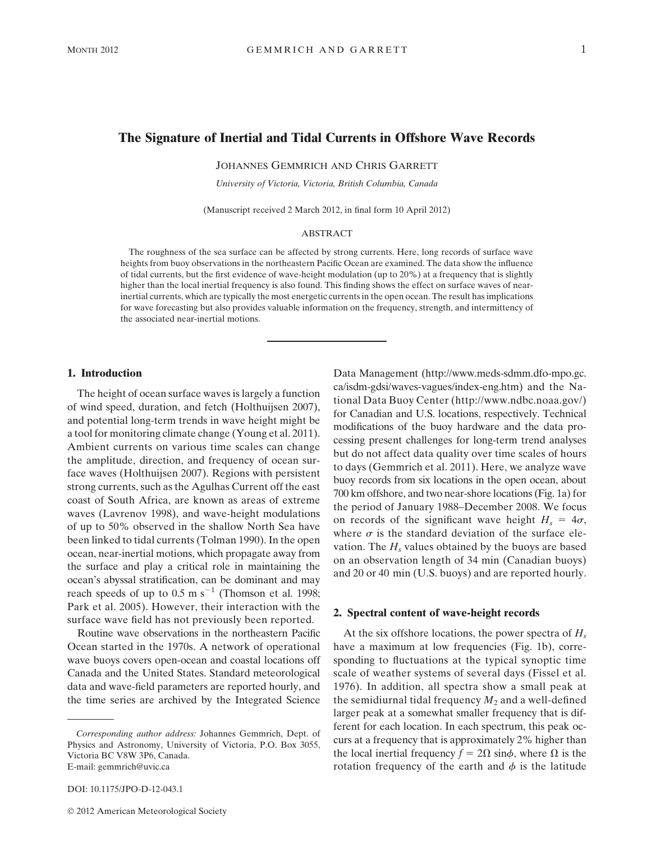# The Signature of Inertial and Tidal Currents in Offshore Wave Records

JOHANNES GEMMRICH AND CHRIS GARRETT

*University of Victoria, Victoria, British Columbia, Canada*

(Manuscript received 2 March 2012, in final form 10 April 2012)

#### ABSTRACT

The roughness of the sea surface can be affected by strong currents. Here, long records of surface wave heights from buoy observations in the northeastern Pacific Ocean are examined. The data show the influence of tidal currents, but the first evidence of wave-height modulation (up to 20%) at a frequency that is slightly higher than the local inertial frequency is also found. This finding shows the effect on surface waves of nearinertial currents, which are typically the most energetic currents in the open ocean. The result has implications for wave forecasting but also provides valuable information on the frequency, strength, and intermittency of the associated near-inertial motions.

## 1. Introduction

The height of ocean surface waves is largely a function of wind speed, duration, and fetch (Holthuijsen 2007), and potential long-term trends in wave height might be a tool for monitoring climate change (Young et al. 2011). Ambient currents on various time scales can change the amplitude, direction, and frequency of ocean surface waves (Holthuijsen 2007). Regions with persistent strong currents, such as the Agulhas Current off the east coast of South Africa, are known as areas of extreme waves (Lavrenov 1998), and wave-height modulations of up to 50% observed in the shallow North Sea have been linked to tidal currents (Tolman 1990). In the open ocean, near-inertial motions, which propagate away from the surface and play a critical role in maintaining the ocean's abyssal stratification, can be dominant and may reach speeds of up to  $0.5 \text{ m s}^{-1}$  (Thomson et al. 1998; Park et al. 2005). However, their interaction with the surface wave field has not previously been reported.

Routine wave observations in the northeastern Pacific Ocean started in the 1970s. A network of operational wave buoys covers open-ocean and coastal locations off Canada and the United States. Standard meteorological data and wave-field parameters are reported hourly, and the time series are archived by the Integrated Science

DOI: 10.1175/JPO-D-12-043.1

Data Management (http://www.meds-sdmm.dfo-mpo.gc. ca/isdm-gdsi/waves-vagues/index-eng.htm) and the National Data Buoy Center (http://www.ndbc.noaa.gov/) for Canadian and U.S. locations, respectively. Technical modifications of the buoy hardware and the data processing present challenges for long-term trend analyses but do not affect data quality over time scales of hours to days (Gemmrich et al. 2011). Here, we analyze wave buoy records from six locations in the open ocean, about 700 km offshore, and two near-shore locations (Fig. 1a) for the period of January 1988–December 2008. We focus on records of the significant wave height  $H_s = 4\sigma$ , where  $\sigma$  is the standard deviation of the surface elevation. The *H<sup>s</sup>* values obtained by the buoys are based on an observation length of 34 min (Canadian buoys) and 20 or 40 min (U.S. buoys) and are reported hourly.

### 2. Spectral content of wave-height records

At the six offshore locations, the power spectra of *H<sup>s</sup>* have a maximum at low frequencies (Fig. 1b), corresponding to fluctuations at the typical synoptic time scale of weather systems of several days (Fissel et al. 1976). In addition, all spectra show a small peak at the semidiurnal tidal frequency  $M_2$  and a well-defined larger peak at a somewhat smaller frequency that is different for each location. In each spectrum, this peak occurs at a frequency that is approximately 2% higher than the local inertial frequency  $f = 2\Omega \sin{\phi}$ , where  $\Omega$  is the rotation frequency of the earth and  $\phi$  is the latitude

*Corresponding author address:* Johannes Gemmrich, Dept. of Physics and Astronomy, University of Victoria, P.O. Box 3055, Victoria BC V8W 3P6, Canada. E-mail: gemmrich@uvic.ca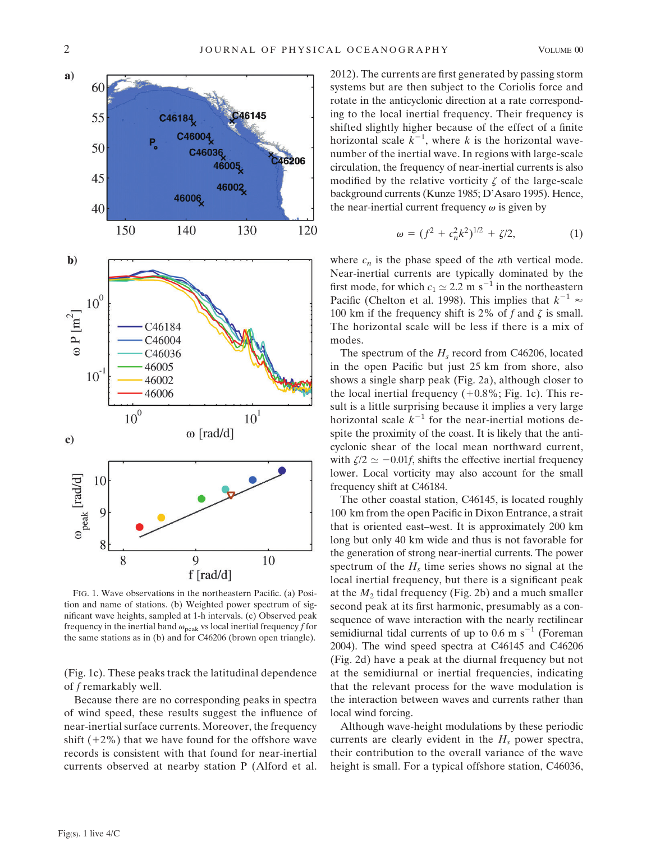

FIG. 1. Wave observations in the northeastern Pacific. (a) Position and name of stations. (b) Weighted power spectrum of significant wave heights, sampled at 1-h intervals. (c) Observed peak frequency in the inertial band  $\omega_{\text{peak}}$  vs local inertial frequency *f* for the same stations as in (b) and for C46206 (brown open triangle).

(Fig. 1c). These peaks track the latitudinal dependence of *f* remarkably well.

Because there are no corresponding peaks in spectra of wind speed, these results suggest the influence of near-inertial surface currents. Moreover, the frequency shift  $(+2\%)$  that we have found for the offshore wave records is consistent with that found for near-inertial currents observed at nearby station P (Alford et al.

2012). The currents are first generated by passing storm systems but are then subject to the Coriolis force and rotate in the anticyclonic direction at a rate corresponding to the local inertial frequency. Their frequency is shifted slightly higher because of the effect of a finite horizontal scale  $k^{-1}$ , where *k* is the horizontal wavenumber of the inertial wave. In regions with large-scale circulation, the frequency of near-inertial currents is also modified by the relative vorticity  $\zeta$  of the large-scale background currents (Kunze 1985; D'Asaro 1995). Hence, the near-inertial current frequency  $\omega$  is given by

$$
\omega = (f^2 + c_n^2 k^2)^{1/2} + \zeta/2, \tag{1}
$$

where  $c_n$  is the phase speed of the *n*th vertical mode. Near-inertial currents are typically dominated by the first mode, for which  $c_1 \approx 2.2 \text{ m s}^{-1}$  in the northeastern Pacific (Chelton et al. 1998). This implies that  $k^{-1} \approx$ 100 km if the frequency shift is 2% of  $f$  and  $\zeta$  is small. The horizontal scale will be less if there is a mix of modes.

The spectrum of the *H<sup>s</sup>* record from C46206, located in the open Pacific but just 25 km from shore, also shows a single sharp peak (Fig. 2a), although closer to the local inertial frequency  $(+0.8\%;$  Fig. 1c). This result is a little surprising because it implies a very large horizontal scale  $k^{-1}$  for the near-inertial motions despite the proximity of the coast. It is likely that the anticyclonic shear of the local mean northward current, with  $\zeta/2 \simeq -0.01f$ , shifts the effective inertial frequency lower. Local vorticity may also account for the small frequency shift at C46184.

The other coastal station, C46145, is located roughly 100 km from the open Pacific in Dixon Entrance, a strait that is oriented east–west. It is approximately 200 km long but only 40 km wide and thus is not favorable for the generation of strong near-inertial currents. The power spectrum of the  $H_s$  time series shows no signal at the local inertial frequency, but there is a significant peak at the *M*<sup>2</sup> tidal frequency (Fig. 2b) and a much smaller second peak at its first harmonic, presumably as a consequence of wave interaction with the nearly rectilinear semidiurnal tidal currents of up to  $0.6 \text{ m s}^{-1}$  (Foreman 2004). The wind speed spectra at C46145 and C46206 (Fig. 2d) have a peak at the diurnal frequency but not at the semidiurnal or inertial frequencies, indicating that the relevant process for the wave modulation is the interaction between waves and currents rather than local wind forcing.

Although wave-height modulations by these periodic currents are clearly evident in the  $H_s$  power spectra, their contribution to the overall variance of the wave height is small. For a typical offshore station, C46036,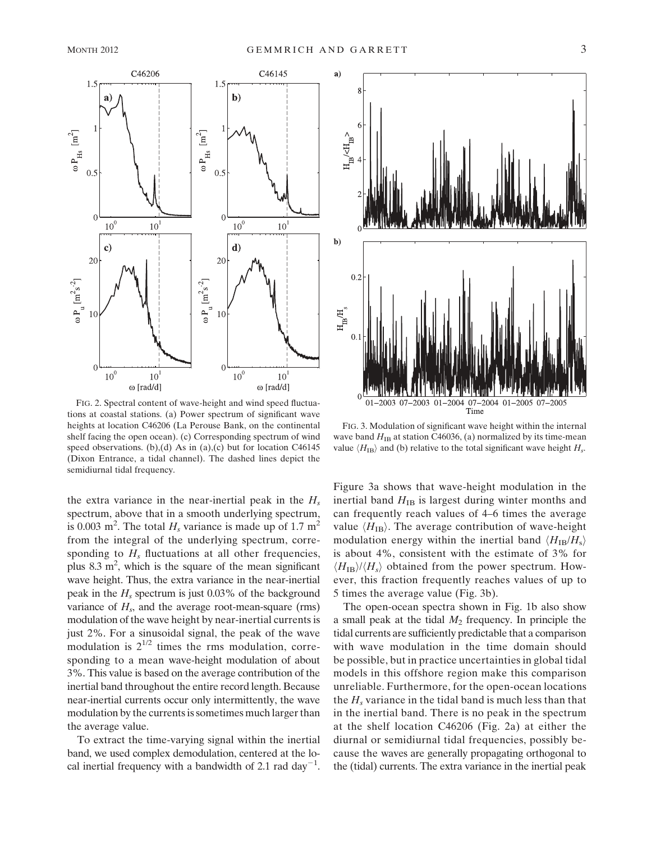

FIG. 2. Spectral content of wave-height and wind speed fluctuations at coastal stations. (a) Power spectrum of significant wave heights at location C46206 (La Perouse Bank, on the continental shelf facing the open ocean). (c) Corresponding spectrum of wind speed observations. (b),(d) As in (a),(c) but for location C46145 (Dixon Entrance, a tidal channel). The dashed lines depict the semidiurnal tidal frequency.

the extra variance in the near-inertial peak in the *H<sup>s</sup>* spectrum, above that in a smooth underlying spectrum, is 0.003 m<sup>2</sup>. The total  $H_s$  variance is made up of 1.7 m<sup>2</sup> from the integral of the underlying spectrum, corresponding to  $H_s$  fluctuations at all other frequencies, plus  $8.3 \text{ m}^2$ , which is the square of the mean significant wave height. Thus, the extra variance in the near-inertial peak in the *H<sup>s</sup>* spectrum is just 0.03% of the background variance of  $H_s$ , and the average root-mean-square (rms) modulation of the wave height by near-inertial currents is just 2%. For a sinusoidal signal, the peak of the wave modulation is  $2^{1/2}$  times the rms modulation, corresponding to a mean wave-height modulation of about 3%. This value is based on the average contribution of the inertial band throughout the entire record length. Because near-inertial currents occur only intermittently, the wave modulation by the currents is sometimes much larger than the average value.

To extract the time-varying signal within the inertial band, we used complex demodulation, centered at the local inertial frequency with a bandwidth of 2.1 rad day<sup>-1</sup>.



FIG. 3. Modulation of significant wave height within the internal wave band  $H_{IB}$  at station C46036, (a) normalized by its time-mean value  $\langle H_{\text{IB}} \rangle$  and (b) relative to the total significant wave height  $H_s$ .

Figure 3a shows that wave-height modulation in the inertial band  $H_{IB}$  is largest during winter months and can frequently reach values of 4–6 times the average value  $\langle H_{\text{IB}} \rangle$ . The average contribution of wave-height modulation energy within the inertial band  $\langle H_{\text{IB}}/H_{\text{s}} \rangle$ is about 4%, consistent with the estimate of 3% for  $\langle H_{\text{IB}} \rangle / \langle H_s \rangle$  obtained from the power spectrum. However, this fraction frequently reaches values of up to 5 times the average value (Fig. 3b).

The open-ocean spectra shown in Fig. 1b also show a small peak at the tidal *M*<sup>2</sup> frequency. In principle the tidal currents are sufficiently predictable that a comparison with wave modulation in the time domain should be possible, but in practice uncertainties in global tidal models in this offshore region make this comparison unreliable. Furthermore, for the open-ocean locations the  $H_s$  variance in the tidal band is much less than that in the inertial band. There is no peak in the spectrum at the shelf location C46206 (Fig. 2a) at either the diurnal or semidiurnal tidal frequencies, possibly because the waves are generally propagating orthogonal to the (tidal) currents. The extra variance in the inertial peak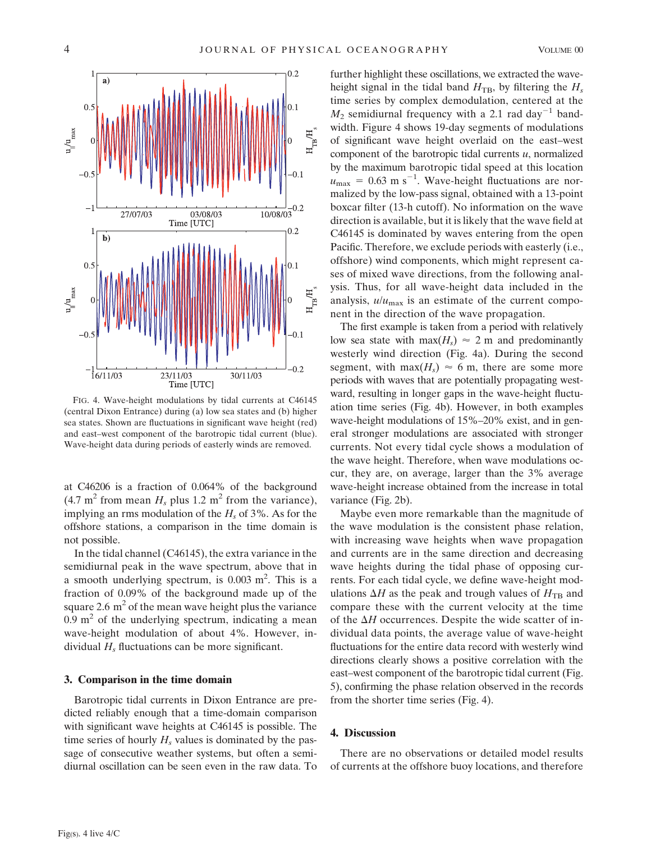

FIG. 4. Wave-height modulations by tidal currents at C46145 (central Dixon Entrance) during (a) low sea states and (b) higher sea states. Shown are fluctuations in significant wave height (red) and east–west component of the barotropic tidal current (blue). Wave-height data during periods of easterly winds are removed.

at C46206 is a fraction of 0.064% of the background  $(4.7 \text{ m}^2 \text{ from mean } H_s \text{ plus } 1.2 \text{ m}^2 \text{ from the variance}),$ implying an rms modulation of the *H<sup>s</sup>* of 3%. As for the offshore stations, a comparison in the time domain is not possible.

In the tidal channel (C46145), the extra variance in the semidiurnal peak in the wave spectrum, above that in a smooth underlying spectrum, is  $0.003$  m<sup>2</sup>. This is a fraction of 0.09% of the background made up of the square 2.6  $m<sup>2</sup>$  of the mean wave height plus the variance  $0.9 \text{ m}^2$  of the underlying spectrum, indicating a mean wave-height modulation of about 4%. However, individual  $H_s$  fluctuations can be more significant.

### 3. Comparison in the time domain

Barotropic tidal currents in Dixon Entrance are predicted reliably enough that a time-domain comparison with significant wave heights at C46145 is possible. The time series of hourly  $H_s$  values is dominated by the passage of consecutive weather systems, but often a semidiurnal oscillation can be seen even in the raw data. To

further highlight these oscillations, we extracted the waveheight signal in the tidal band  $H_{\text{TB}}$ , by filtering the  $H_s$ time series by complex demodulation, centered at the  $M_2$  semidiurnal frequency with a 2.1 rad day<sup>-1</sup> bandwidth. Figure 4 shows 19-day segments of modulations of significant wave height overlaid on the east–west component of the barotropic tidal currents *u*, normalized by the maximum barotropic tidal speed at this location  $u_{\text{max}} = 0.63 \text{ m s}^{-1}$ . Wave-height fluctuations are normalized by the low-pass signal, obtained with a 13-point boxcar filter (13-h cutoff). No information on the wave direction is available, but it is likely that the wave field at C46145 is dominated by waves entering from the open Pacific. Therefore, we exclude periods with easterly (i.e., offshore) wind components, which might represent cases of mixed wave directions, from the following analysis. Thus, for all wave-height data included in the analysis,  $u/u_{\text{max}}$  is an estimate of the current component in the direction of the wave propagation.

The first example is taken from a period with relatively low sea state with  $max(H_s) \approx 2$  m and predominantly westerly wind direction (Fig. 4a). During the second segment, with max( $H_s$ )  $\approx$  6 m, there are some more periods with waves that are potentially propagating westward, resulting in longer gaps in the wave-height fluctuation time series (Fig. 4b). However, in both examples wave-height modulations of 15%–20% exist, and in general stronger modulations are associated with stronger currents. Not every tidal cycle shows a modulation of the wave height. Therefore, when wave modulations occur, they are, on average, larger than the 3% average wave-height increase obtained from the increase in total variance (Fig. 2b).

Maybe even more remarkable than the magnitude of the wave modulation is the consistent phase relation, with increasing wave heights when wave propagation and currents are in the same direction and decreasing wave heights during the tidal phase of opposing currents. For each tidal cycle, we define wave-height modulations  $\Delta H$  as the peak and trough values of  $H_{\text{TB}}$  and compare these with the current velocity at the time of the  $\Delta H$  occurrences. Despite the wide scatter of individual data points, the average value of wave-height fluctuations for the entire data record with westerly wind directions clearly shows a positive correlation with the east–west component of the barotropic tidal current (Fig. 5), confirming the phase relation observed in the records from the shorter time series (Fig. 4).

#### 4. Discussion

There are no observations or detailed model results of currents at the offshore buoy locations, and therefore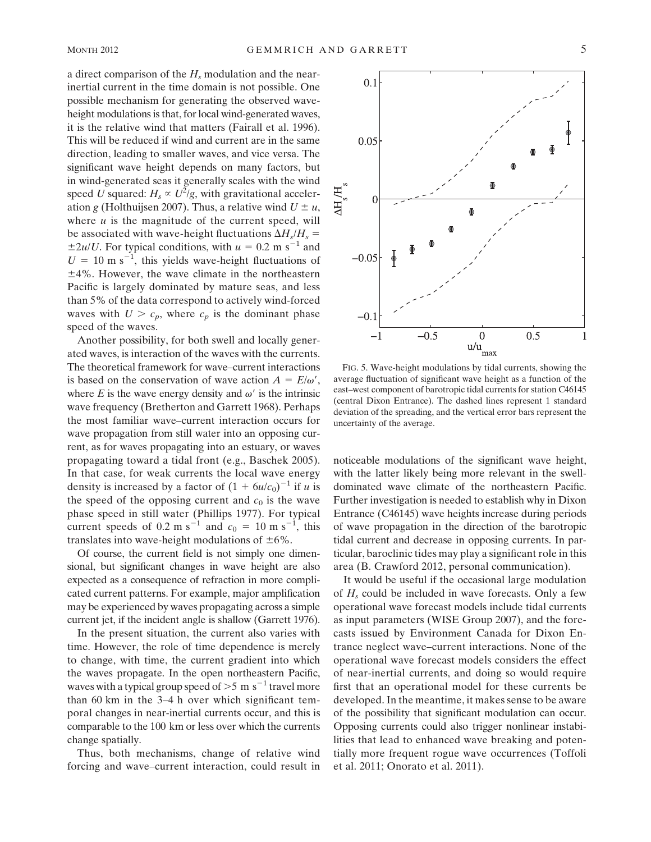a direct comparison of the *H<sup>s</sup>* modulation and the nearinertial current in the time domain is not possible. One possible mechanism for generating the observed waveheight modulations is that, for local wind-generated waves, it is the relative wind that matters (Fairall et al. 1996). This will be reduced if wind and current are in the same direction, leading to smaller waves, and vice versa. The significant wave height depends on many factors, but in wind-generated seas it generally scales with the wind speed *U* squared:  $H_s \propto U^2/g$ , with gravitational acceleration *g* (Holthuijsen 2007). Thus, a relative wind  $U \pm u$ , where  $u$  is the magnitude of the current speed, will be associated with wave-height fluctuations  $\Delta H_s/H_s =$  $\pm 2u/U$ . For typical conditions, with  $u = 0.2$  m s<sup>-1</sup> and  $U = 10 \text{ m s}^{-1}$ , this yields wave-height fluctuations of  $\pm$ 4%. However, the wave climate in the northeastern Pacific is largely dominated by mature seas, and less than 5% of the data correspond to actively wind-forced waves with  $U > c_p$ , where  $c_p$  is the dominant phase speed of the waves.

Another possibility, for both swell and locally generated waves, is interaction of the waves with the currents. The theoretical framework for wave–current interactions is based on the conservation of wave action  $A = E/\omega'$ , where  $E$  is the wave energy density and  $\omega'$  is the intrinsic wave frequency (Bretherton and Garrett 1968). Perhaps the most familiar wave–current interaction occurs for wave propagation from still water into an opposing current, as for waves propagating into an estuary, or waves propagating toward a tidal front (e.g., Baschek 2005). In that case, for weak currents the local wave energy density is increased by a factor of  $(1 + 6u/c_0)^{-1}$  if *u* is the speed of the opposing current and  $c_0$  is the wave phase speed in still water (Phillips 1977). For typical current speeds of 0.2 m s<sup>-1</sup> and  $c_0 = 10$  m s<sup>-1</sup>, this translates into wave-height modulations of  $\pm 6\%$ .

Of course, the current field is not simply one dimensional, but significant changes in wave height are also expected as a consequence of refraction in more complicated current patterns. For example, major amplification may be experienced by waves propagating across a simple current jet, if the incident angle is shallow (Garrett 1976).

In the present situation, the current also varies with time. However, the role of time dependence is merely to change, with time, the current gradient into which the waves propagate. In the open northeastern Pacific, waves with a typical group speed of  $>5$  m s<sup>-1</sup> travel more than 60 km in the 3–4 h over which significant temporal changes in near-inertial currents occur, and this is comparable to the 100 km or less over which the currents change spatially.

Thus, both mechanisms, change of relative wind forcing and wave–current interaction, could result in



FIG. 5. Wave-height modulations by tidal currents, showing the average fluctuation of significant wave height as a function of the east–west component of barotropic tidal currents for station C46145 (central Dixon Entrance). The dashed lines represent 1 standard deviation of the spreading, and the vertical error bars represent the uncertainty of the average.

noticeable modulations of the significant wave height, with the latter likely being more relevant in the swelldominated wave climate of the northeastern Pacific. Further investigation is needed to establish why in Dixon Entrance (C46145) wave heights increase during periods of wave propagation in the direction of the barotropic tidal current and decrease in opposing currents. In particular, baroclinic tides may play a significant role in this area (B. Crawford 2012, personal communication).

It would be useful if the occasional large modulation of  $H_s$  could be included in wave forecasts. Only a few operational wave forecast models include tidal currents as input parameters (WISE Group 2007), and the forecasts issued by Environment Canada for Dixon Entrance neglect wave–current interactions. None of the operational wave forecast models considers the effect of near-inertial currents, and doing so would require first that an operational model for these currents be developed. In the meantime, it makes sense to be aware of the possibility that significant modulation can occur. Opposing currents could also trigger nonlinear instabilities that lead to enhanced wave breaking and potentially more frequent rogue wave occurrences (Toffoli et al. 2011; Onorato et al. 2011).